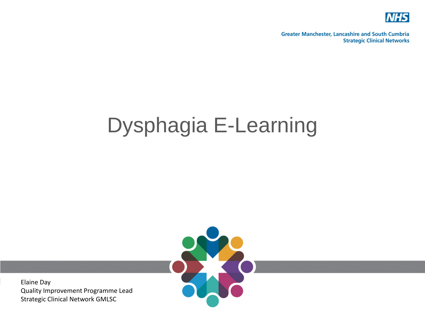

**Greater Manchester, Lancashire and South Cumbria Strategic Clinical Networks** 

## Dysphagia E-Learning



Elaine Day Quality Improvement Programme Lead Strategic Clinical Network GMLSC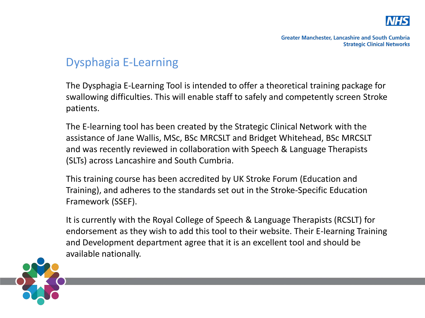

## Dysphagia E-Learning

The Dysphagia E-Learning Tool is intended to offer a theoretical training package for swallowing difficulties. This will enable staff to safely and competently screen Stroke patients.

The E-learning tool has been created by the Strategic Clinical Network with the assistance of Jane Wallis, MSc, BSc MRCSLT and Bridget Whitehead, BSc MRCSLT and was recently reviewed in collaboration with Speech & Language Therapists (SLTs) across Lancashire and South Cumbria.

This training course has been accredited by UK Stroke Forum (Education and Training), and adheres to the standards set out in the Stroke-Specific Education Framework (SSEF).

It is currently with the Royal College of Speech & Language Therapists (RCSLT) for endorsement as they wish to add this tool to their website. Their E-learning Training and Development department agree that it is an excellent tool and should be available nationally.

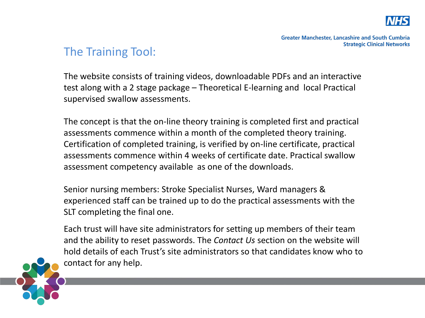

## The Training Tool:

The website consists of training videos, downloadable PDFs and an interactive test along with a 2 stage package – Theoretical E-learning and local Practical supervised swallow assessments.

The concept is that the on-line theory training is completed first and practical assessments commence within a month of the completed theory training. Certification of completed training, is verified by on-line certificate, practical assessments commence within 4 weeks of certificate date. Practical swallow assessment competency available as one of the downloads.

Senior nursing members: Stroke Specialist Nurses, Ward managers & experienced staff can be trained up to do the practical assessments with the SLT completing the final one.

Each trust will have site administrators for setting up members of their team and the ability to reset passwords. The *Contact Us* section on the website will hold details of each Trust's site administrators so that candidates know who to contact for any help.

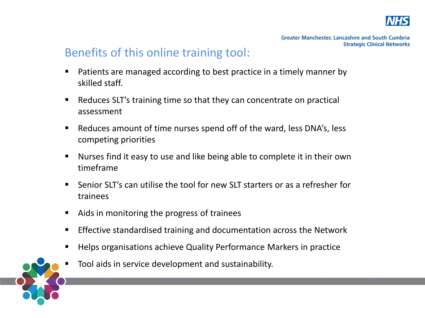

## Benefits of this online training tool:

- Patients are managed according to best practice in a timely manner by skilled staff.
- Reduces SLT's training time so that they can concentrate on practical assessment
- Reduces amount of time nurses spend off of the ward, less DNA's, less competing priorities
- Nurses find it easy to use and like being able to complete it in their own timeframe
- Senior SLT's can utilise the tool for new SLT starters or as a refresher for trainees
- Aids in monitoring the progress of trainees
- **Effective standardised training and documentation across the Network**
- **Helps organisations achieve Quality Performance Markers in practice**
- Tool aids in service development and sustainability.

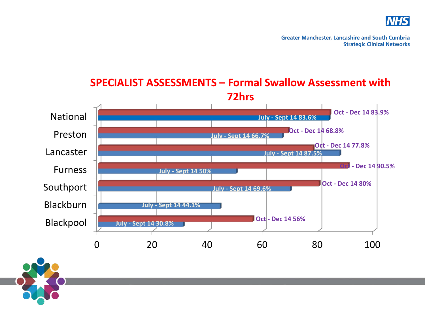